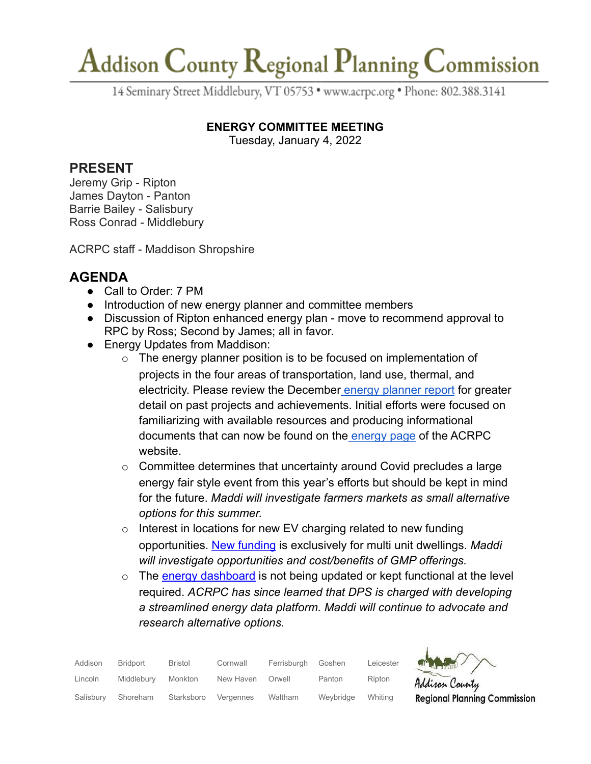## Addison County Regional Planning Commission

14 Seminary Street Middlebury, VT 05753 · www.acrpc.org · Phone: 802.388.3141

#### **ENERGY COMMITTEE MEETING**

Tuesday, January 4, 2022

#### **PRESENT**

Jeremy Grip - Ripton James Dayton - Panton Barrie Bailey - Salisbury Ross Conrad - Middlebury

ACRPC staff - Maddison Shropshire

## **AGENDA**

- Call to Order: 7 PM
- Introduction of new energy planner and committee members
- Discussion of Ripton enhanced energy plan move to recommend approval to RPC by Ross; Second by James; all in favor.
- Energy Updates from Maddison:
	- $\circ$  The energy planner position is to be focused on implementation of projects in the four areas of transportation, land use, thermal, and electricity. Please review the December [energy planner](https://drive.google.com/file/d/1xLUZ7PtK4JL0ur4NOvk6NHzbTDYmjnVX/view?usp=sharing) report for greater detail on past projects and achievements. Initial efforts were focused on familiarizing with available resources and producing informational documents that can now be found on the [energy page](https://acrpc.org/regional-programs/energy/) of the ACRPC website.
	- $\circ$  Committee determines that uncertainty around Covid precludes a large energy fair style event from this year's efforts but should be kept in mind for the future. *Maddi will investigate farmers markets as small alternative options for this summer.*
	- $\circ$  Interest in locations for new EV charging related to new funding opportunities. [New funding](https://accd.vermont.gov/community-development/funding-incentives/electric-vehicle-supply-equipment-evse-grant-program) is exclusively for multi unit dwellings. *Maddi will investigate opportunities and cost/benefits of GMP offerings.*
	- $\circ$  The [energy dashboard](https://www.vtenergydashboard.org/) is not being updated or kept functional at the level required. *ACRPC has since learned that DPS is charged with developing a streamlined energy data platform. Maddi will continue to advocate and research alternative options.*

| Addison   | <b>Bridport</b> | <b>Bristol</b> | Cornwall  | Ferrisburah | Goshen    | Leicester | <b>ATT</b> |
|-----------|-----------------|----------------|-----------|-------------|-----------|-----------|------------|
| Lincoln   | Middlebury      | Monkton        | New Haven | Orwell      | Panton    | Ripton    | Ad         |
| Salisbury | Shoreham        | Starksboro     | Vergennes | Waltham     | Weybridge | Whitina   | Re         |



gional Planning Commission